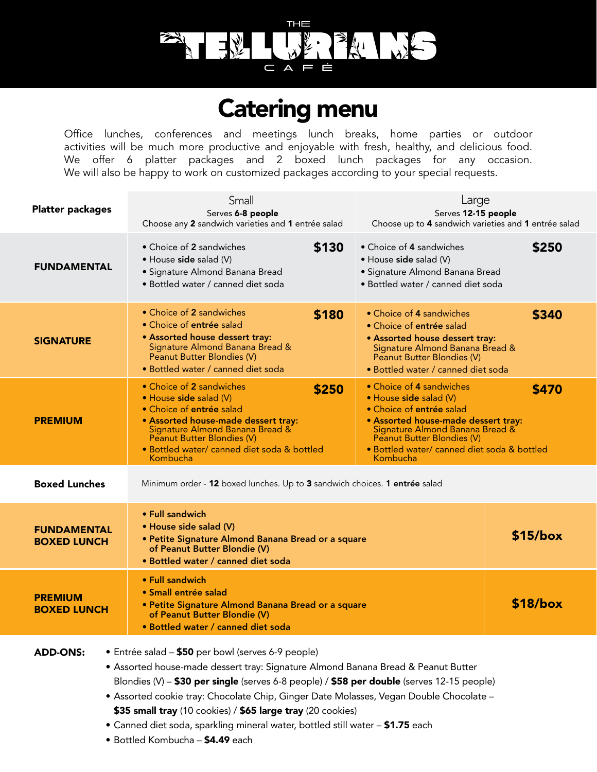

# Catering menu

Office lunches, conferences and meetings lunch breaks, home parties or outdoor activities will be much more productive and enjoyable with fresh, healthy, and delicious food. We offer 6 platter packages and 2 boxed lunch packages for any occasion. We will also be happy to work on customized packages according to your special requests.

| <b>Platter packages</b>                                                                                                                                                                                                                                  | Small<br>Serves 6-8 people<br>Choose any 2 sandwich varieties and 1 entrée salad                                                                                                                                                     | Large<br>Serves 12-15 people<br>Choose up to 4 sandwich varieties and 1 entrée salad                                                                                                                                                           |            |
|----------------------------------------------------------------------------------------------------------------------------------------------------------------------------------------------------------------------------------------------------------|--------------------------------------------------------------------------------------------------------------------------------------------------------------------------------------------------------------------------------------|------------------------------------------------------------------------------------------------------------------------------------------------------------------------------------------------------------------------------------------------|------------|
| <b>FUNDAMENTAL</b>                                                                                                                                                                                                                                       | • Choice of 2 sandwiches<br>\$130<br>• House side salad (V)<br>· Signature Almond Banana Bread<br>• Bottled water / canned diet soda                                                                                                 | • Choice of 4 sandwiches<br>• House side salad (V)<br>• Signature Almond Banana Bread<br>• Bottled water / canned diet soda                                                                                                                    | \$250      |
| <b>SIGNATURE</b>                                                                                                                                                                                                                                         | • Choice of 2 sandwiches<br>\$180<br>• Choice of entrée salad<br>• Assorted house dessert tray:<br>Signature Almond Banana Bread &<br>Peanut Butter Blondies (V)<br>· Bottled water / canned diet soda                               | • Choice of 4 sandwiches<br>• Choice of entrée salad<br>• Assorted house dessert tray:<br>Signature Almond Banana Bread &<br>Peanut Butter Blondies (V)<br>· Bottled water / canned diet soda                                                  | \$340      |
| <b>PREMIUM</b>                                                                                                                                                                                                                                           | • Choice of 2 sandwiches<br>\$250<br>$\bullet$ House side salad (V)<br>• Choice of entrée salad<br>• Assorted house-made dessert tray:<br>Signature Almond Banana Bread &<br>· Bottled water/ canned diet soda & bottled<br>Kombucha | • Choice of 4 sandwiches<br>• House side salad (V)<br>• Choice of entrée salad<br>• Assorted house-made dessert tray:<br>Signature Almond Banana Bread & Peanut Butter Blondies (V)<br>· Bottled water/ canned diet soda & bottled<br>Kombucha | \$470      |
| <b>Boxed Lunches</b><br>Minimum order - 12 boxed lunches. Up to 3 sandwich choices. 1 entrée salad                                                                                                                                                       |                                                                                                                                                                                                                                      |                                                                                                                                                                                                                                                |            |
| <b>FUNDAMENTAL</b><br><b>BOXED LUNCH</b>                                                                                                                                                                                                                 | • Full sandwich<br>• House side salad (V)<br>• Petite Signature Almond Banana Bread or a square<br>of Peanut Butter Blondie (V)<br>• Bottled water / canned diet soda                                                                |                                                                                                                                                                                                                                                | $$15/b$ ox |
| <b>PREMIUM</b><br><b>BOXED LUNCH</b>                                                                                                                                                                                                                     | • Full sandwich<br>• Small entrée salad<br>· Petite Signature Almond Banana Bread or a square<br>of Peanut Butter Blondie (V)<br>• Bottled water / canned diet soda                                                                  |                                                                                                                                                                                                                                                | \$18/box   |
| <b>ADD-ONS:</b><br>• Entrée salad - \$50 per bowl (serves 6-9 people)<br>• Assorted house-made dessert tray: Signature Almond Banana Bread & Peanut Butter<br>Blondies (V) - \$30 per single (serves 6-8 people) / \$58 per double (serves 12-15 people) |                                                                                                                                                                                                                                      |                                                                                                                                                                                                                                                |            |

- Assorted cookie tray: Chocolate Chip, Ginger Date Molasses, Vegan Double Chocolate \$35 small tray (10 cookies) / \$65 large tray (20 cookies)
- Canned diet soda, sparkling mineral water, bottled still water \$1.75 each
- Bottled Kombucha \$4.49 each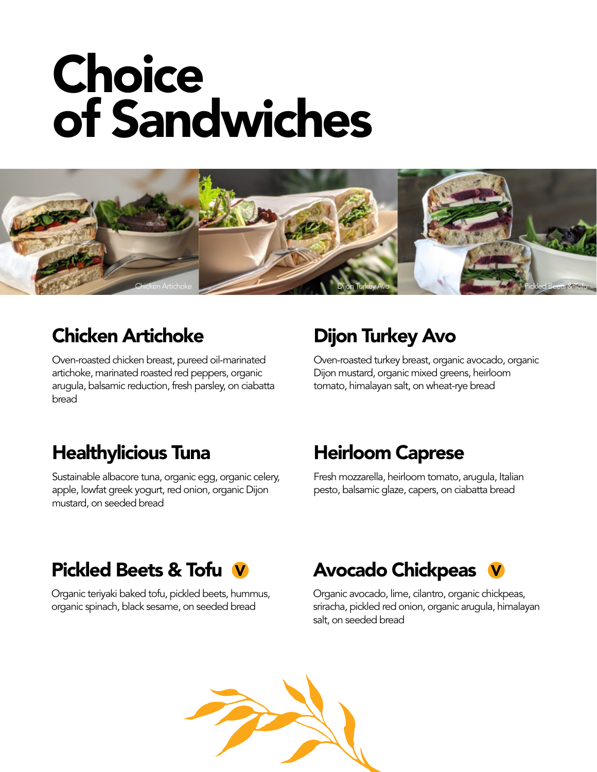# **Choice** of Sandwiches



#### Chicken Artichoke

Oven-roasted chicken breast, pureed oil-marinated artichoke, marinated roasted red peppers, organic arugula, balsamic reduction, fresh parsley, on ciabatta bread

# Dijon Turkey Avo

Oven-roasted turkey breast, organic avocado, organic Dijon mustard, organic mixed greens, heirloom tomato, himalayan salt, on wheat-rye bread

# Healthylicious Tuna

Sustainable albacore tuna, organic egg, organic celery, apple, lowfat greek yogurt, red onion, organic Dijon mustard, on seeded bread

### Heirloom Caprese

Fresh mozzarella, heirloom tomato, arugula, Italian pesto, balsamic glaze, capers, on ciabatta bread

### Pickled Beets & Tofu

Organic teriyaki baked tofu, pickled beets, hummus, organic spinach, black sesame, on seeded bread

# **V** Avocado Chickpeas V

Organic avocado, lime, cilantro, organic chickpeas, sriracha, pickled red onion, organic arugula, himalayan salt, on seeded bread

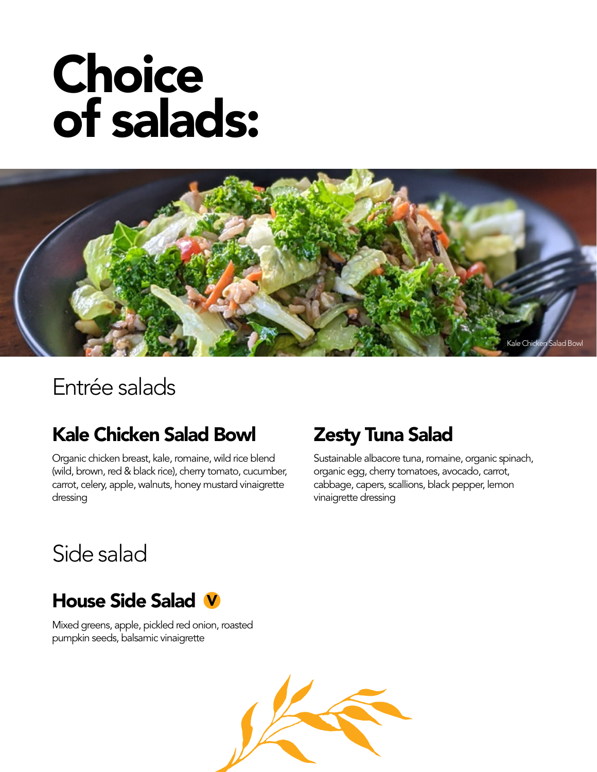# Choice of salads:



# Entrée salads

# Kale Chicken Salad Bowl

Organic chicken breast, kale, romaine, wild rice blend (wild, brown, red & black rice), cherry tomato, cucumber, carrot, celery, apple, walnuts, honey mustard vinaigrette dressing

# Zesty Tuna Salad

Sustainable albacore tuna, romaine, organic spinach, organic egg, cherry tomatoes, avocado, carrot, cabbage, capers, scallions, black pepper, lemon vinaigrette dressing

# Side salad

# House Side Salad V

Mixed greens, apple, pickled red onion, roasted pumpkin seeds, balsamic vinaigrette